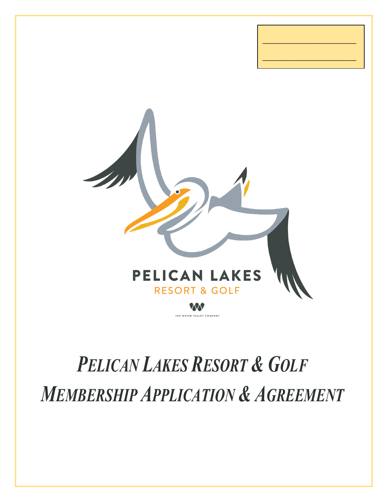

\_\_\_\_\_\_\_\_\_\_\_\_\_\_\_\_\_\_\_\_\_\_\_\_\_\_\_

\_\_\_\_\_\_\_\_\_\_\_\_\_\_\_\_\_\_\_\_\_\_\_\_\_\_\_

# *PELICAN LAKES RESORT & GOLF MEMBERSHIP APPLICATION & AGREEMENT*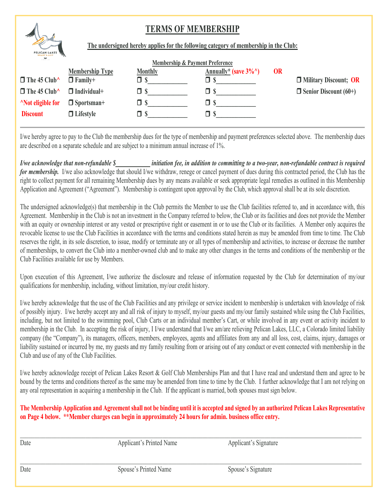## **TERMS OF MEMBERSHIP**



**The undersigned hereby applies for the following category of membership in the Club:**

| a contract them.              |                        | <b>Membership &amp; Payment Preference</b> |                                  |           |                                |
|-------------------------------|------------------------|--------------------------------------------|----------------------------------|-----------|--------------------------------|
|                               | <b>Membership Type</b> | <b>Monthly</b>                             | Annually* (save $3\%^{\wedge}$ ) | <b>OR</b> |                                |
| $\Box$ The 45 Club^           | $\Box$ Family+         |                                            |                                  |           | <b>D</b> Military Discount; OR |
| $\Box$ The 45 Club^           | $\Box$ Individual+     | O \$                                       | ⊐ ১                              |           | $\Box$ Senior Discount (60+)   |
| <sup>A</sup> Not eligible for | $\Box$ Sportsman+      | ∃ \$                                       |                                  |           |                                |
| <b>Discount</b>               | $\Box$ Lifestyle       |                                            |                                  |           |                                |

I/we hereby agree to pay to the Club the membership dues for the type of membership and payment preferences selected above. The membership dues are described on a separate schedule and are subject to a minimum annual increase of 1%.

*I/we acknowledge that non-refundable \$\_\_\_\_\_\_\_\_\_\_\_\_ initiation fee, in addition to committing to a two-year, non-refundable contract is required for membership.* I/we also acknowledge that should I/we withdraw, renege or cancel payment of dues during this contracted period, the Club has the right to collect payment for all remaining Membership dues by any means available or seek appropriate legal remedies as outlined in this Membership Application and Agreement ("Agreement"). Membership is contingent upon approval by the Club, which approval shall be at its sole discretion.

The undersigned acknowledge(s) that membership in the Club permits the Member to use the Club facilities referred to, and in accordance with, this Agreement. Membership in the Club is not an investment in the Company referred to below, the Club or its facilities and does not provide the Member with an equity or ownership interest or any vested or prescriptive right or easement in or to use the Club or its facilities. A Member only acquires the revocable license to use the Club Facilities in accordance with the terms and conditions stated herein as may be amended from time to time. The Club reserves the right, in its sole discretion, to issue, modify or terminate any or all types of membership and activities, to increase or decrease the number of memberships, to convert the Club into a member-owned club and to make any other changes in the terms and conditions of the membership or the Club Facilities available for use by Members.

Upon execution of this Agreement, I/we authorize the disclosure and release of information requested by the Club for determination of my/our qualifications for membership, including, without limitation, my/our credit history.

I/we hereby acknowledge that the use of the Club Facilities and any privilege or service incident to membership is undertaken with knowledge of risk of possibly injury. I/we hereby accept any and all risk of injury to myself, my/our guests and my/our family sustained while using the Club Facilities, including, but not limited to the swimming pool, Club Carts or an individual member's Cart, or while involved in any event or activity incident to membership in the Club. In accepting the risk of injury, I I/we understand that I/we am/are relieving Pelican Lakes, LLC, a Colorado limited liability company (the "Company"), its managers, officers, members, employees, agents and affiliates from any and all loss, cost, claims, injury, damages or liability sustained or incurred by me, my guests and my family resulting from or arising out of any conduct or event connected with membership in the Club and use of any of the Club Facilities.

I/we hereby acknowledge receipt of Pelican Lakes Resort & Golf Club Memberships Plan and that I have read and understand them and agree to be bound by the terms and conditions thereof as the same may be amended from time to time by the Club. I further acknowledge that I am not relying on any oral representation in acquiring a membership in the Club. If the applicant is married, both spouses must sign below.

#### **The Membership Application and Agreement shall not be binding until it is accepted and signed by an authorized Pelican Lakes Representative on Page 4 below. \*\*Member charges can begin in approximately 24 hours for admin. business office entry.**

| Date | Applicant's Printed Name | Applicant's Signature |
|------|--------------------------|-----------------------|
| Date | Spouse's Printed Name    | Spouse's Signature    |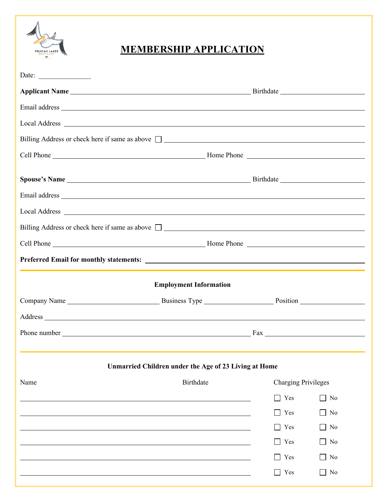

# **MEMBERSHIP APPLICATION**

| Date:                                                                                                                                                                                                                          |                                                       |                            |           |
|--------------------------------------------------------------------------------------------------------------------------------------------------------------------------------------------------------------------------------|-------------------------------------------------------|----------------------------|-----------|
| Applicant Name Birthdate Birthdate                                                                                                                                                                                             |                                                       |                            |           |
|                                                                                                                                                                                                                                |                                                       |                            |           |
|                                                                                                                                                                                                                                |                                                       |                            |           |
| Billing Address or check here if same as above $\Box$                                                                                                                                                                          |                                                       |                            |           |
|                                                                                                                                                                                                                                |                                                       |                            |           |
|                                                                                                                                                                                                                                |                                                       |                            |           |
|                                                                                                                                                                                                                                |                                                       |                            |           |
|                                                                                                                                                                                                                                |                                                       |                            |           |
|                                                                                                                                                                                                                                |                                                       |                            |           |
| Billing Address or check here if same as above $\Box$                                                                                                                                                                          |                                                       |                            |           |
|                                                                                                                                                                                                                                |                                                       |                            |           |
|                                                                                                                                                                                                                                |                                                       |                            |           |
|                                                                                                                                                                                                                                | <b>Employment Information</b>                         |                            |           |
|                                                                                                                                                                                                                                |                                                       |                            |           |
| Address and the contract of the contract of the contract of the contract of the contract of the contract of the contract of the contract of the contract of the contract of the contract of the contract of the contract of th |                                                       |                            |           |
|                                                                                                                                                                                                                                |                                                       |                            |           |
|                                                                                                                                                                                                                                |                                                       |                            |           |
|                                                                                                                                                                                                                                | Unmarried Children under the Age of 23 Living at Home |                            |           |
| Name                                                                                                                                                                                                                           | <b>Birthdate</b>                                      | <b>Charging Privileges</b> |           |
|                                                                                                                                                                                                                                |                                                       | Yes                        | No        |
|                                                                                                                                                                                                                                |                                                       | Yes                        | No        |
|                                                                                                                                                                                                                                |                                                       | Yes                        | No        |
|                                                                                                                                                                                                                                |                                                       | Yes                        | No        |
|                                                                                                                                                                                                                                |                                                       | Yes                        | No        |
|                                                                                                                                                                                                                                |                                                       | Yes                        | $\Box$ No |
|                                                                                                                                                                                                                                |                                                       |                            |           |